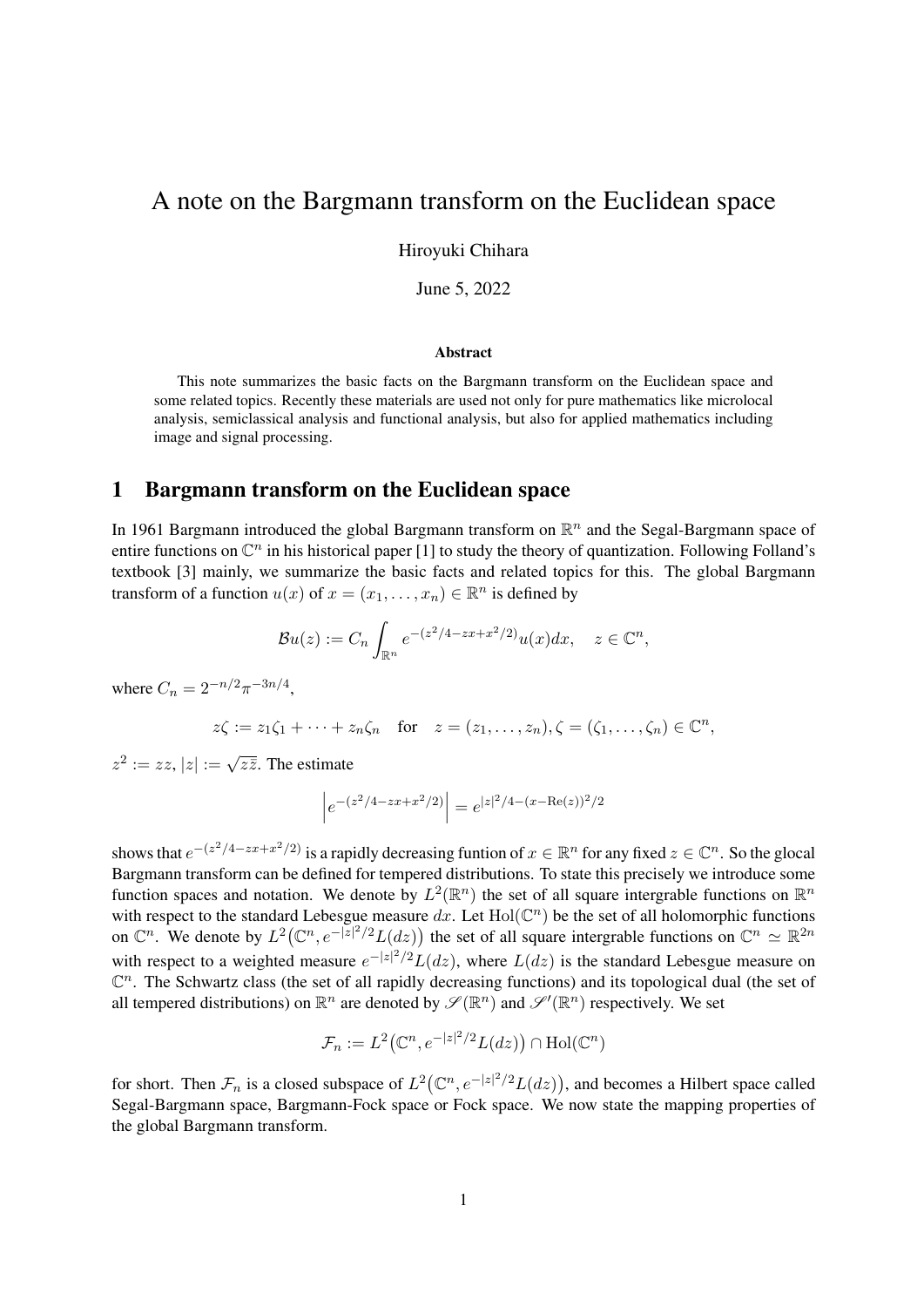# A note on the Bargmann transform on the Euclidean space

Hiroyuki Chihara

June 5, 2022

#### Abstract

This note summarizes the basic facts on the Bargmann transform on the Euclidean space and some related topics. Recently these materials are used not only for pure mathematics like microlocal analysis, semiclassical analysis and functional analysis, but also for applied mathematics including image and signal processing.

#### 1 Bargmann transform on the Euclidean space

In 1961 Bargmann introduced the global Bargmann transform on  $\mathbb{R}^n$  and the Segal-Bargmann space of entire functions on  $\mathbb{C}^n$  in his historical paper [1] to study the theory of quantization. Following Folland's textbook [3] mainly, we summarize the basic facts and related topics for this. The global Bargmann transform of a function  $u(x)$  of  $x = (x_1, \dots, x_n) \in \mathbb{R}^n$  is defined by

$$
\mathcal{B}u(z) := C_n \int_{\mathbb{R}^n} e^{-(z^2/4 - zx + x^2/2)} u(x) dx, \quad z \in \mathbb{C}^n,
$$

where  $C_n = 2^{-n/2} \pi^{-3n/4}$ ,

$$
z\zeta := z_1\zeta_1 + \cdots + z_n\zeta_n \quad \text{for} \quad z = (z_1, \ldots, z_n), \zeta = (\zeta_1, \ldots, \zeta_n) \in \mathbb{C}^n,
$$

 $z^2 := zz$ ,  $|z| := \sqrt{z\overline{z}}$ . The estimate

$$
\left| e^{-(z^2/4 - zx + x^2/2)} \right| = e^{|z|^2/4 - (x - \text{Re}(z))^2/2}
$$

shows that  $e^{-(z^2/4 - zx + x^2/2)}$  is a rapidly decreasing funtion of  $x \in \mathbb{R}^n$  for any fixed  $z \in \mathbb{C}^n$ . So the glocal Bargmann transform can be defined for tempered distributions. To state this precisely we introduce some function spaces and notation. We denote by  $L^2(\mathbb{R}^n)$  the set of all square intergrable functions on  $\mathbb{R}^n$ with respect to the standard Lebesgue measure  $dx$ . Let  $Hol(\mathbb{C}^n)$  be the set of all holomorphic functions on  $\mathbb{C}^n$ . We denote by  $L^2(\mathbb{C}^n, e^{-|z|^2/2}L(dz))$  the set of all square intergrable functions on  $\mathbb{C}^n \simeq \mathbb{R}^{2n}$ with respect to a weighted measure  $e^{-|z|^2/2}L(dz)$ , where  $L(dz)$  is the standard Lebesgue measure on  $\mathbb{C}^n$ . The Schwartz class (the set of all rapidly decreasing functions) and its topological dual (the set of all tempered distributions) on  $\mathbb{R}^n$  are denoted by  $\mathscr{S}(\mathbb{R}^n)$  and  $\mathscr{S}'(\mathbb{R}^n)$  respectively. We set

$$
\mathcal{F}_n := L^2\big(\mathbb{C}^n, e^{-|z|^2/2}L(dz)\big) \cap \text{Hol}(\mathbb{C}^n)
$$

for short. Then  $\mathcal{F}_n$  is a closed subspace of  $L^2(\mathbb{C}^n, e^{-|z|^2/2}L(dz))$ , and becomes a Hilbert space called Segal-Bargmann space, Bargmann-Fock space or Fock space. We now state the mapping properties of the global Bargmann transform.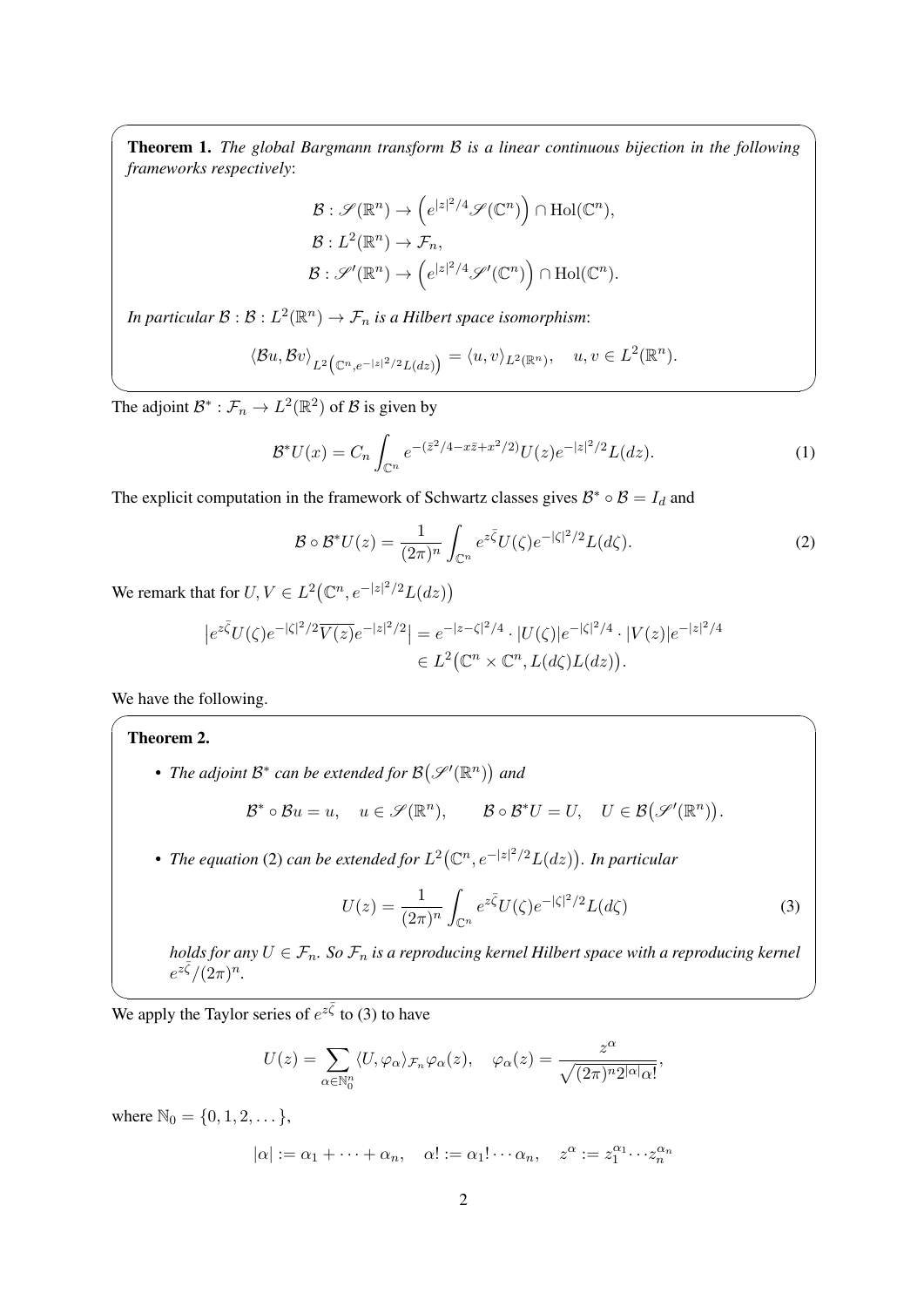Theorem 1. *The global Bargmann transform B is a linear continuous bijection in the following frameworks respectively*:

 $\sqrt{2\pi}$ 

$$
\mathcal{B}: \mathscr{S}(\mathbb{R}^n) \to \left(e^{|z|^2/4} \mathscr{S}(\mathbb{C}^n)\right) \cap \text{Hol}(\mathbb{C}^n),
$$
  

$$
\mathcal{B}: L^2(\mathbb{R}^n) \to \mathcal{F}_n,
$$
  

$$
\mathcal{B}: \mathscr{S}'(\mathbb{R}^n) \to \left(e^{|z|^2/4} \mathscr{S}'(\mathbb{C}^n)\right) \cap \text{Hol}(\mathbb{C}^n).
$$

In particular  $\mathcal{B}:\mathcal{B}: L^2(\mathbb{R}^n) \to \mathcal{F}_n$  is a Hilbert space isomorphism:

$$
\langle \mathcal{B} u, \mathcal{B} v \rangle_{L^2 \big(\mathbb{C}^n, e^{-|z|^2/2} L(dz)\big)} = \langle u, v \rangle_{L^2(\mathbb{R}^n)}, \quad u, v \in L^2(\mathbb{R}^n).
$$

✒ ✑ The adjoint  $\mathcal{B}^*$  :  $\mathcal{F}_n \to L^2(\mathbb{R}^2)$  of  $\mathcal{B}$  is given by

$$
\mathcal{B}^* U(x) = C_n \int_{\mathbb{C}^n} e^{-(\bar{z}^2/4 - x\bar{z} + x^2/2)} U(z) e^{-|z|^2/2} L(dz).
$$
 (1)

The explicit computation in the framework of Schwartz classes gives  $B^* \circ B = I_d$  and

$$
\mathcal{B} \circ \mathcal{B}^* U(z) = \frac{1}{(2\pi)^n} \int_{\mathbb{C}^n} e^{z\bar{\zeta}} U(\zeta) e^{-|\zeta|^2/2} L(d\zeta).
$$
 (2)

We remark that for  $U, V \in L^2(\mathbb{C}^n, e^{-|z|^2/2}L(dz))$ 

$$
|e^{z\bar{\zeta}}U(\zeta)e^{-|\zeta|^2/2}\overline{V(z)}e^{-|z|^2/2}| = e^{-|z-\zeta|^2/4} \cdot |U(\zeta)|e^{-|\zeta|^2/4} \cdot |V(z)|e^{-|z|^2/4}
$$
  

$$
\in L^2(\mathbb{C}^n \times \mathbb{C}^n, L(d\zeta)L(dz)).
$$

We have the following.

## Theorem 2.

• *The adjoint*  $\mathcal{B}^*$  can be extended for  $\mathcal{B}(\mathscr{S}'(\mathbb{R}^n))$  and

$$
\mathcal{B}^* \circ \mathcal{B}u = u, \quad u \in \mathscr{S}(\mathbb{R}^n), \qquad \mathcal{B} \circ \mathcal{B}^*U = U, \quad U \in \mathcal{B}(\mathscr{S}'(\mathbb{R}^n)).
$$

 $\sqrt{2\pi}$ 

• The equation (2) can be extended for  $L^2(\mathbb{C}^n,e^{-|z|^2/2}L(dz))$ . In particular

$$
U(z) = \frac{1}{(2\pi)^n} \int_{\mathbb{C}^n} e^{z\bar{\zeta}} U(\zeta) e^{-|\zeta|^2/2} L(d\zeta)
$$
 (3)

*holds for any*  $U \in \mathcal{F}_n$ *. So*  $\mathcal{F}_n$  *is a reproducing kernel Hilbert space with a reproducing kernel*  $e^{z\bar{\zeta}}/(2\pi)^n$ .

 $\frac{1}{\sqrt{2}}$ We apply the Taylor series of  $e^{z\bar{\zeta}}$  to (3) to have

$$
U(z) = \sum_{\alpha \in \mathbb{N}_0^n} \langle U, \varphi_\alpha \rangle_{\mathcal{F}_n} \varphi_\alpha(z), \quad \varphi_\alpha(z) = \frac{z^\alpha}{\sqrt{(2\pi)^n 2^{|\alpha|} \alpha!}},
$$

where  $\mathbb{N}_0 = \{0, 1, 2, \dots\},\$ 

$$
|\alpha| := \alpha_1 + \cdots + \alpha_n, \quad \alpha! := \alpha_1! \cdots \alpha_n, \quad z^{\alpha} := z_1^{\alpha_1} \cdots z_n^{\alpha_n}
$$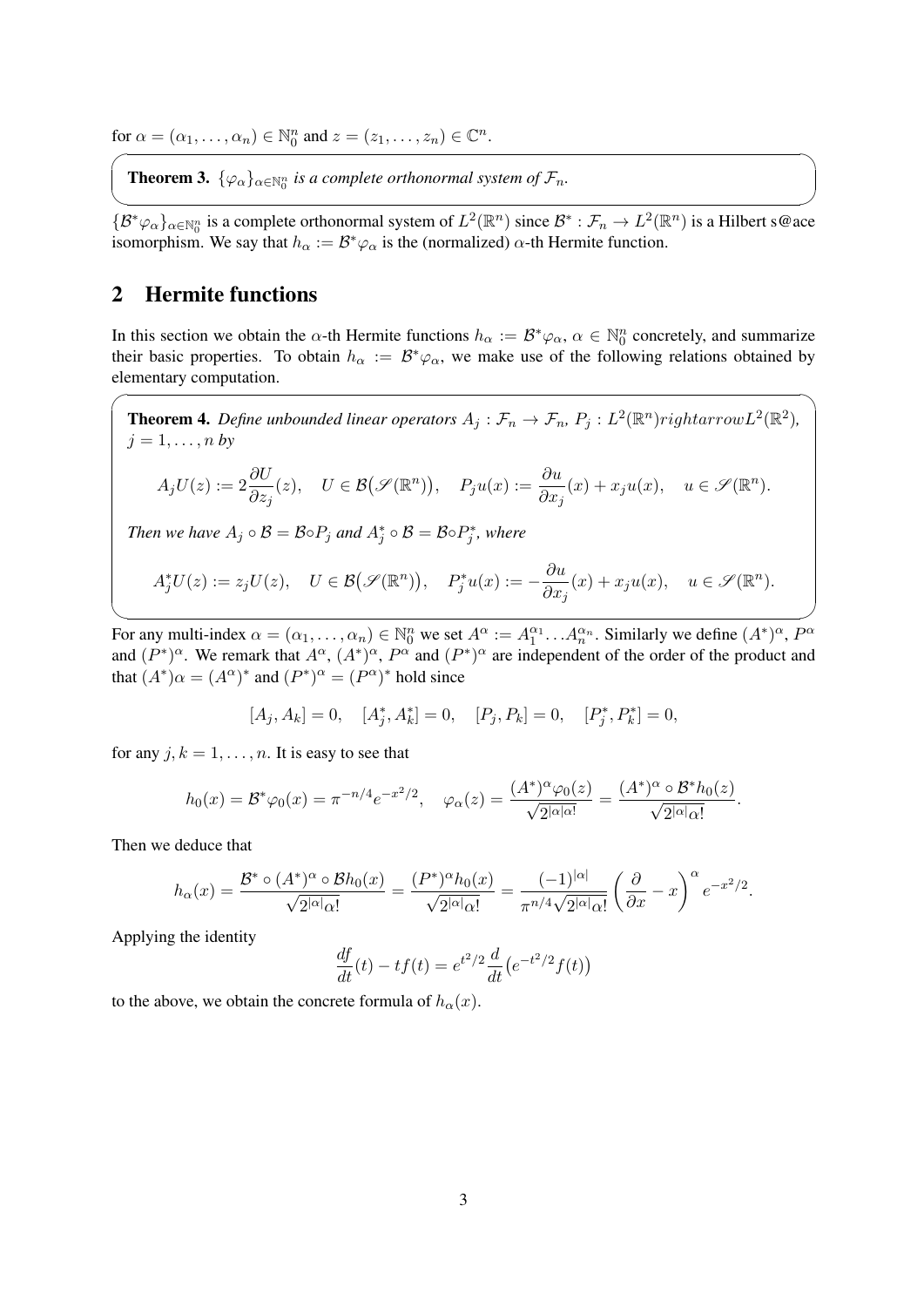for  $\alpha = (\alpha_1, \ldots, \alpha_n) \in \mathbb{N}_0^n$  and  $z = (z_1, \ldots, z_n) \in \mathbb{C}^n$ .

**Theorem 3.**  $\{\varphi_{\alpha}\}_{\alpha \in \mathbb{N}_{0}^{n}}$  is a complete orthonormal system of  $\mathcal{F}_{n}$ .

✒ ✑  $\{B^*\varphi_\alpha\}_{\alpha\in\mathbb{N}_0^n}$  is a complete orthonormal system of  $L^2(\mathbb{R}^n)$  since  $\mathcal{B}^*: \mathcal{F}_n \to L^2(\mathbb{R}^n)$  is a Hilbert s@ace isomorphism. We say that  $h_{\alpha} := \mathcal{B}^* \varphi_{\alpha}$  is the (normalized)  $\alpha$ -th Hermite function.

# 2 Hermite functions

 $\overline{a}$ 

In this section we obtain the *α*-th Hermite functions  $h_{\alpha} := \mathcal{B}^*\varphi_{\alpha}, \alpha \in \mathbb{N}_0^n$  concretely, and summarize their basic properties. To obtain  $h_{\alpha} := \mathcal{B}^*\varphi_{\alpha}$ , we make use of the following relations obtained by elementary computation.

**Theorem 4.** Define unbounded linear operators  $A_j: \mathcal{F}_n \to \mathcal{F}_n$ ,  $P_j: L^2(\mathbb{R}^n)$ rightarrow $L^2(\mathbb{R}^2)$ ,  $j = 1, \ldots, n$  *by* 

$$
A_jU(z) := 2\frac{\partial U}{\partial z_j}(z), \quad U \in \mathcal{B}(\mathcal{S}(\mathbb{R}^n)), \quad P_ju(x) := \frac{\partial u}{\partial x_j}(x) + x_ju(x), \quad u \in \mathcal{S}(\mathbb{R}^n).
$$

*Then we have*  $A_j \circ B = \mathcal{B} \circ P_j$  and  $A_j^* \circ \mathcal{B} = \mathcal{B} \circ P_j^*$ , where

$$
A_j^*U(z) := z_j U(z), \quad U \in \mathcal{B}(\mathcal{S}(\mathbb{R}^n)), \quad P_j^*u(x) := -\frac{\partial u}{\partial x_j}(x) + x_j u(x), \quad u \in \mathcal{S}(\mathbb{R}^n).
$$

✒ ✑ For any multi-index  $\alpha = (\alpha_1, \dots, \alpha_n) \in \mathbb{N}_0^n$  we set  $A^\alpha := A_1^{\alpha_1} \dots A_n^{\alpha_n}$ . Similarly we define  $(A^*)^\alpha$ ,  $P^\alpha$ and  $(P^*)^{\alpha}$ . We remark that  $A^{\alpha}$ ,  $(A^*)^{\alpha}$ ,  $P^{\alpha}$  and  $(P^*)^{\alpha}$  are independent of the order of the product and that  $(A^*)\alpha = (A^{\alpha})^*$  and  $(P^*)^{\alpha} = (P^{\alpha})^*$  hold since

$$
[A_j, A_k] = 0, \quad [A_j^*, A_k^*] = 0, \quad [P_j, P_k] = 0, \quad [P_j^*, P_k^*] = 0,
$$

for any  $j, k = 1, \ldots, n$ . It is easy to see that

$$
h_0(x) = \mathcal{B}^*\varphi_0(x) = \pi^{-n/4}e^{-x^2/2}, \quad \varphi_\alpha(z) = \frac{(A^*)^\alpha \varphi_0(z)}{\sqrt{2^{|\alpha| \alpha!}}} = \frac{(A^*)^\alpha \circ \mathcal{B}^* h_0(z)}{\sqrt{2^{|\alpha| \alpha!}}}.
$$

Then we deduce that

$$
h_{\alpha}(x) = \frac{\mathcal{B}^* \circ (A^*)^{\alpha} \circ \mathcal{B}h_0(x)}{\sqrt{2^{|\alpha|} \alpha!}} = \frac{(\mathcal{P}^*)^{\alpha} h_0(x)}{\sqrt{2^{|\alpha|} \alpha!}} = \frac{(-1)^{|\alpha|}}{\pi^{n/4} \sqrt{2^{|\alpha|} \alpha!}} \left(\frac{\partial}{\partial x} - x\right)^{\alpha} e^{-x^2/2}.
$$

Applying the identity

$$
\frac{df}{dt}(t) - tf(t) = e^{t^2/2} \frac{d}{dt} (e^{-t^2/2} f(t))
$$

to the above, we obtain the concrete formula of  $h_\alpha(x)$ .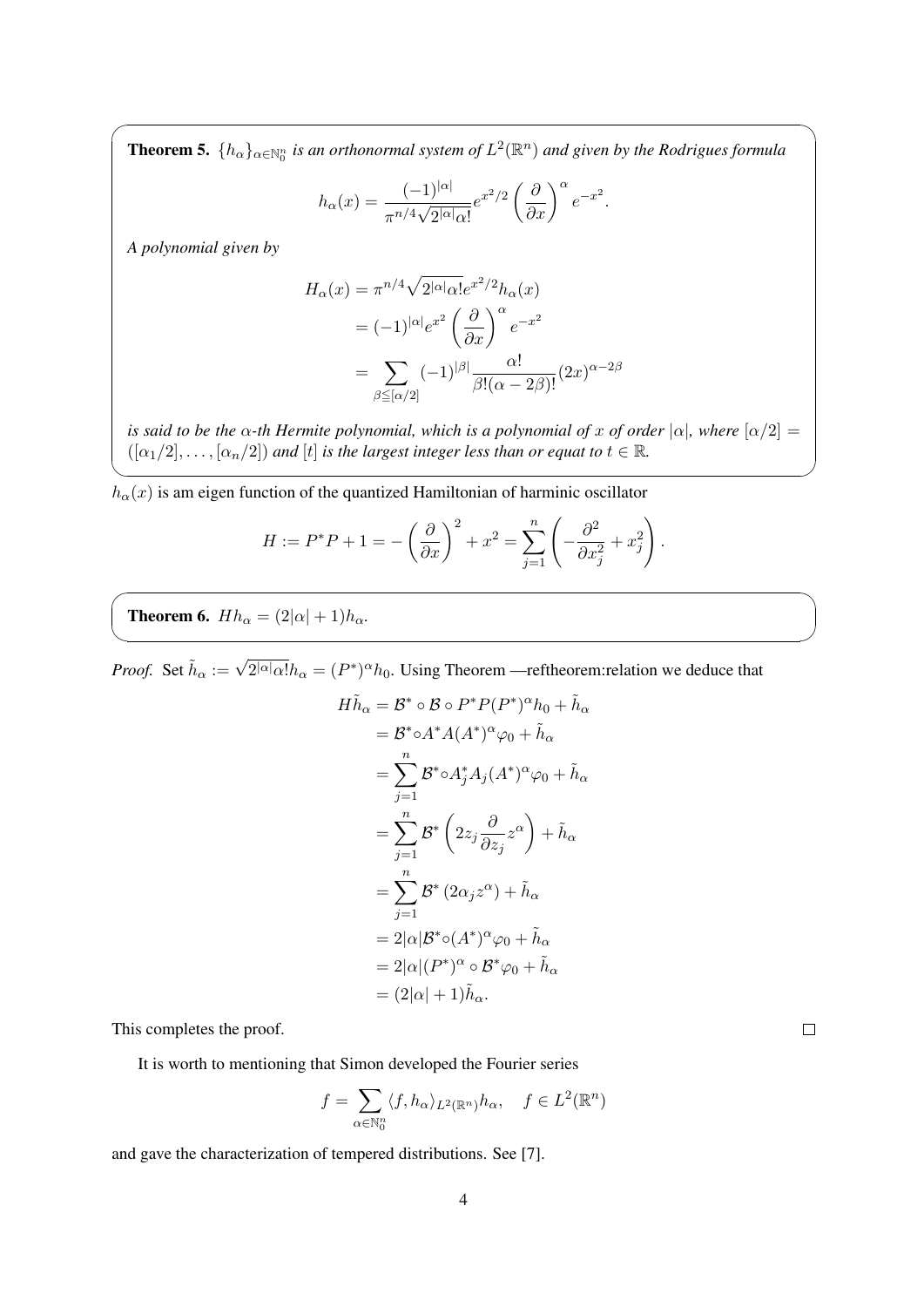**Theorem 5.**  $\{h_{\alpha}\}_{{\alpha}\in\mathbb{N}_0^n}$  is an orthonormal system of  $L^2(\mathbb{R}^n)$  and given by the Rodrigues formula

 $\sqrt{2\pi}$ 

$$
h_{\alpha}(x) = \frac{(-1)^{|\alpha|}}{\pi^{n/4}\sqrt{2^{|\alpha|}\alpha!}}e^{x^2/2}\left(\frac{\partial}{\partial x}\right)^{\alpha}e^{-x^2}.
$$

*A polynomial given by*

$$
H_{\alpha}(x) = \pi^{n/4} \sqrt{2^{|\alpha|} \alpha!} e^{x^2/2} h_{\alpha}(x)
$$
  
=  $(-1)^{|\alpha|} e^{x^2} \left(\frac{\partial}{\partial x}\right)^{\alpha} e^{-x^2}$   
= 
$$
\sum_{\beta \leq [\alpha/2]} (-1)^{|\beta|} \frac{\alpha!}{\beta! (\alpha - 2\beta)!} (2x)^{\alpha - 2\beta}
$$

*is said to be the*  $\alpha$ -*th Hermite polynomial, which is a polynomial of x of order*  $|\alpha|$ *, where*  $[\alpha/2]$  =  $(\alpha_1/2], \ldots, \alpha_n/2]$  *and*  $[t]$  *is the largest integer less than or equat to*  $t \in \mathbb{R}$ *.* 

✒ ✑

 $\sqrt{2\pi}$ 

✒ ✑

 $h_{\alpha}(x)$  is am eigen function of the quantized Hamiltonian of harminic oscillator

$$
H := P^*P + 1 = -\left(\frac{\partial}{\partial x}\right)^2 + x^2 = \sum_{j=1}^n \left(-\frac{\partial^2}{\partial x_j^2} + x_j^2\right).
$$

**Theorem 6.**  $Hh_{\alpha} = (2|\alpha| + 1)h_{\alpha}$ .

*Proof.* Set  $\tilde{h}_{\alpha} := \sqrt{2^{|\alpha|} \alpha!} h_{\alpha} = (P^*)^{\alpha} h_0$ . Using Theorem —reftheorem: relation we deduce that

$$
H\tilde{h}_{\alpha} = \mathcal{B}^* \circ \mathcal{B} \circ P^* P(P^*)^{\alpha} h_0 + \tilde{h}_{\alpha}
$$
  
\n
$$
= \mathcal{B}^* \circ A^* A(A^*)^{\alpha} \varphi_0 + \tilde{h}_{\alpha}
$$
  
\n
$$
= \sum_{j=1}^n \mathcal{B}^* \circ A_j^* A_j (A^*)^{\alpha} \varphi_0 + \tilde{h}_{\alpha}
$$
  
\n
$$
= \sum_{j=1}^n \mathcal{B}^* \left( 2z_j \frac{\partial}{\partial z_j} z^{\alpha} \right) + \tilde{h}_{\alpha}
$$
  
\n
$$
= \sum_{j=1}^n \mathcal{B}^* (2\alpha_j z^{\alpha}) + \tilde{h}_{\alpha}
$$
  
\n
$$
= 2|\alpha| \mathcal{B}^* \circ (A^*)^{\alpha} \varphi_0 + \tilde{h}_{\alpha}
$$
  
\n
$$
= 2|\alpha|(P^*)^{\alpha} \circ \mathcal{B}^* \varphi_0 + \tilde{h}_{\alpha}
$$
  
\n
$$
= (2|\alpha| + 1)\tilde{h}_{\alpha}.
$$

This completes the proof.

It is worth to mentioning that Simon developed the Fourier series

$$
f = \sum_{\alpha \in \mathbb{N}_0^n} \langle f, h_\alpha \rangle_{L^2(\mathbb{R}^n)} h_\alpha, \quad f \in L^2(\mathbb{R}^n)
$$

and gave the characterization of tempered distributions. See [7].

 $\Box$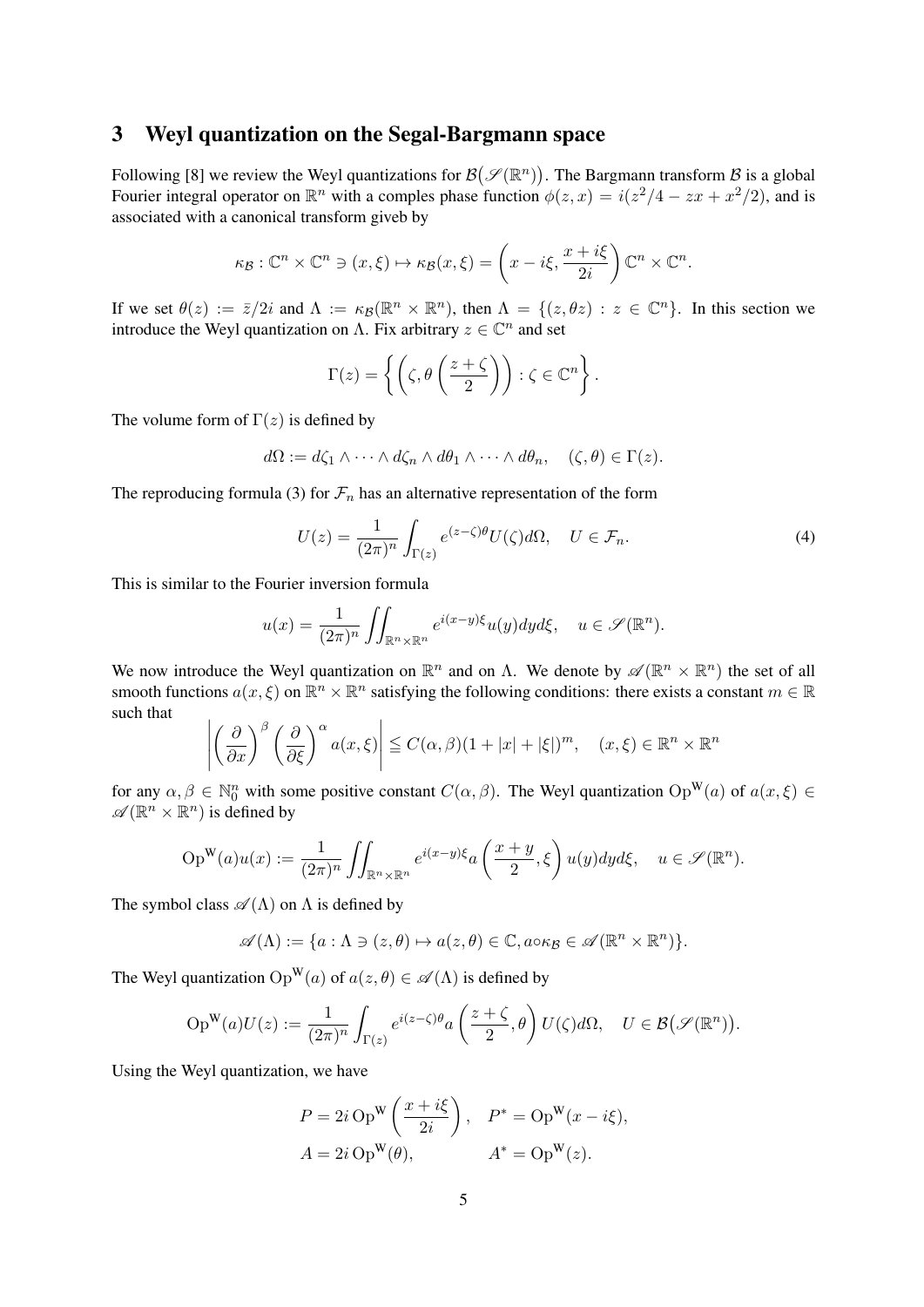### 3 Weyl quantization on the Segal-Bargmann space

Following [8] we review the Weyl quantizations for  $\mathcal{B}(\mathcal{S}(\mathbb{R}^n))$ . The Bargmann transform  $\mathcal{B}$  is a global Fourier integral operator on  $\mathbb{R}^n$  with a comples phase function  $\phi(z, x) = i(z^2/4 - zx + x^2/2)$ , and is associated with a canonical transform giveb by

$$
\kappa_{\mathcal{B}} : \mathbb{C}^n \times \mathbb{C}^n \ni (x, \xi) \mapsto \kappa_{\mathcal{B}}(x, \xi) = \left(x - i\xi, \frac{x + i\xi}{2i}\right)\mathbb{C}^n \times \mathbb{C}^n.
$$

If we set  $\theta(z) := \overline{z}/2i$  and  $\Lambda := \kappa_{\mathcal{B}}(\mathbb{R}^n \times \mathbb{R}^n)$ , then  $\Lambda = \{(z, \theta z) : z \in \mathbb{C}^n\}$ . In this section we introduce the Weyl quantization on  $\Lambda$ . Fix arbitrary  $z \in \mathbb{C}^n$  and set

$$
\Gamma(z) = \left\{ \left( \zeta, \theta \left( \frac{z + \zeta}{2} \right) \right) : \zeta \in \mathbb{C}^n \right\}.
$$

The volume form of  $\Gamma(z)$  is defined by

$$
d\Omega := d\zeta_1 \wedge \cdots \wedge d\zeta_n \wedge d\theta_1 \wedge \cdots \wedge d\theta_n, \quad (\zeta, \theta) \in \Gamma(z).
$$

The reproducing formula (3) for  $\mathcal{F}_n$  has an alternative representation of the form

$$
U(z) = \frac{1}{(2\pi)^n} \int_{\Gamma(z)} e^{(z-\zeta)\theta} U(\zeta) d\Omega, \quad U \in \mathcal{F}_n.
$$
 (4)

This is similar to the Fourier inversion formula

$$
u(x) = \frac{1}{(2\pi)^n} \iint_{\mathbb{R}^n \times \mathbb{R}^n} e^{i(x-y)\xi} u(y) dy d\xi, \quad u \in \mathscr{S}(\mathbb{R}^n).
$$

We now introduce the Weyl quantization on  $\mathbb{R}^n$  and on  $\Lambda$ . We denote by  $\mathscr{A}(\mathbb{R}^n \times \mathbb{R}^n)$  the set of all smooth functions  $a(x, \xi)$  on  $\mathbb{R}^n \times \mathbb{R}^n$  satisfying the following conditions: there exists a constant  $m \in \mathbb{R}$ such that

$$
\left| \left( \frac{\partial}{\partial x} \right)^\beta \left( \frac{\partial}{\partial \xi} \right)^\alpha a(x, \xi) \right| \le C(\alpha, \beta)(1 + |x| + |\xi|)^m, \quad (x, \xi) \in \mathbb{R}^n \times \mathbb{R}^n
$$

for any  $\alpha, \beta \in \mathbb{N}_0^n$  with some positive constant  $C(\alpha, \beta)$ . The Weyl quantization  $Op^W(a)$  of  $a(x, \xi) \in$  $\mathscr{A}(\mathbb{R}^n \times \mathbb{R}^n)$  is defined by

$$
\operatorname{Op}^{\mathbf{W}}(a)u(x) := \frac{1}{(2\pi)^n} \iint_{\mathbb{R}^n \times \mathbb{R}^n} e^{i(x-y)\xi} a\left(\frac{x+y}{2}, \xi\right) u(y) dy d\xi, \quad u \in \mathscr{S}(\mathbb{R}^n).
$$

The symbol class  $\mathscr{A}(\Lambda)$  on  $\Lambda$  is defined by

$$
\mathscr{A}(\Lambda) := \{ a : \Lambda \ni (z,\theta) \mapsto a(z,\theta) \in \mathbb{C}, a \circ \kappa_{\mathcal{B}} \in \mathscr{A}(\mathbb{R}^n \times \mathbb{R}^n) \}.
$$

The Weyl quantization  $Op^W(a)$  of  $a(z, \theta) \in \mathscr{A}(\Lambda)$  is defined by

$$
\mathrm{Op}^{\mathbf{W}}(a)U(z) := \frac{1}{(2\pi)^n} \int_{\Gamma(z)} e^{i(z-\zeta)\theta} a\left(\frac{z+\zeta}{2}, \theta\right) U(\zeta) d\Omega, \quad U \in \mathcal{B}\big(\mathcal{S}(\mathbb{R}^n)\big).
$$

Using the Weyl quantization, we have

$$
P = 2i \operatorname{Op}^{\mathbf{W}} \left( \frac{x + i\xi}{2i} \right), \quad P^* = \operatorname{Op}^{\mathbf{W}} (x - i\xi),
$$
  

$$
A = 2i \operatorname{Op}^{\mathbf{W}} (\theta), \qquad A^* = \operatorname{Op}^{\mathbf{W}} (z).
$$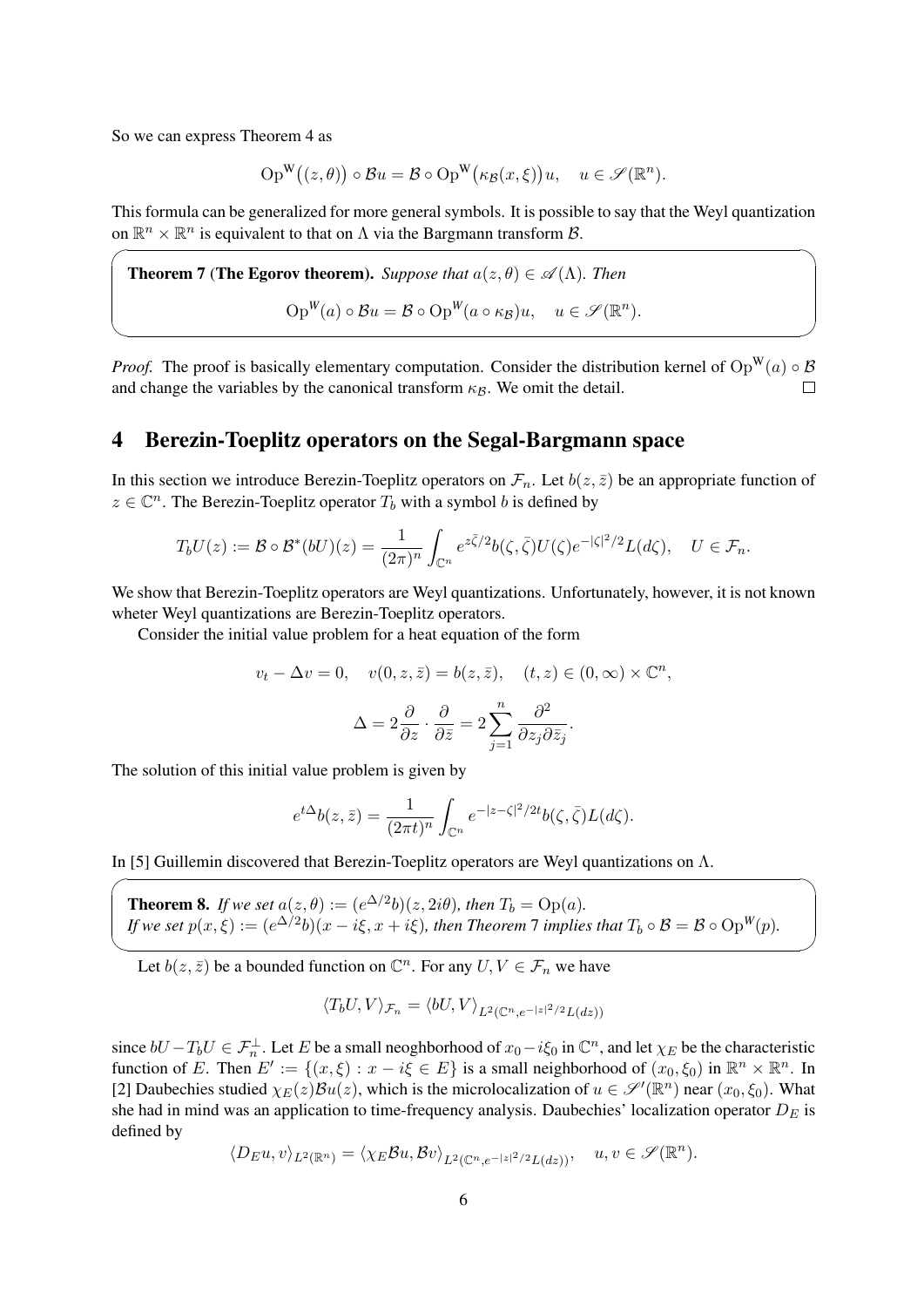So we can express Theorem 4 as

 $\sqrt{2}$ 

 $\sqrt{2}$ 

$$
Op^W((z,\theta)) \circ Bu = \mathcal{B} \circ Op^W(\kappa_{\mathcal{B}}(x,\xi))u, \quad u \in \mathscr{S}(\mathbb{R}^n).
$$

This formula can be generalized for more general symbols. It is possible to say that the Weyl quantization on  $\mathbb{R}^n \times \mathbb{R}^n$  is equivalent to that on  $\Lambda$  via the Bargmann transform  $\mathcal{B}$ .

**Theorem 7 (The Egorov theorem).** Suppose that 
$$
a(z, \theta) \in \mathcal{A}(\Lambda)
$$
. Then  
\n
$$
\operatorname{Op}^W(a) \circ \mathcal{B}u = \mathcal{B} \circ \operatorname{Op}^W(a \circ \kappa_{\mathcal{B}})u, \quad u \in \mathcal{S}(\mathbb{R}^n).
$$

*Proof.* The proof is basically elementary computation. Consider the distribution kernel of  $Op^W(a) \circ B$ and change the variables by the canonical transform  $\kappa_B$ . We omit the detail.  $\Box$ 

✒ ✑

#### 4 Berezin-Toeplitz operators on the Segal-Bargmann space

In this section we introduce Berezin-Toeplitz operators on  $\mathcal{F}_n$ . Let  $b(z, \bar{z})$  be an appropriate function of  $z \in \mathbb{C}^n$ . The Berezin-Toeplitz operator  $T_b$  with a symbol *b* is defined by

$$
T_bU(z) := \mathcal{B} \circ \mathcal{B}^*(bU)(z) = \frac{1}{(2\pi)^n} \int_{\mathbb{C}^n} e^{z\bar{\zeta}/2} b(\zeta, \bar{\zeta}) U(\zeta) e^{-|\zeta|^2/2} L(d\zeta), \quad U \in \mathcal{F}_n.
$$

We show that Berezin-Toeplitz operators are Weyl quantizations. Unfortunately, however, it is not known wheter Weyl quantizations are Berezin-Toeplitz operators.

Consider the initial value problem for a heat equation of the form

$$
v_t - \Delta v = 0, \quad v(0, z, \bar{z}) = b(z, \bar{z}), \quad (t, z) \in (0, \infty) \times \mathbb{C}^n,
$$

$$
\Delta = 2 \frac{\partial}{\partial z} \cdot \frac{\partial}{\partial \bar{z}} = 2 \sum_{j=1}^n \frac{\partial^2}{\partial z_j \partial \bar{z}_j}.
$$

The solution of this initial value problem is given by

$$
e^{t\Delta}b(z,\bar{z}) = \frac{1}{(2\pi t)^n} \int_{\mathbb{C}^n} e^{-|z-\zeta|^2/2t} b(\zeta, \bar{\zeta}) L(d\zeta).
$$

In [5] Guillemin discovered that Berezin-Toeplitz operators are Weyl quantizations on Λ.

**Theorem 8.** *If we set*  $a(z, \theta) := (e^{\Delta/2}b)(z, 2i\theta)$ *, then*  $T_b = \text{Op}(a)$ *.* If we set  $p(x,\xi):=(e^{\Delta/2}b)(x-i\xi,x+i\xi)$ , then Theorem 7 implies that  $T_b\circ\mathcal{B}=\mathcal{B}\circ\operatorname{Op}^W(p).$ 

 $\qquad \qquad \qquad$ Let  $b(z, \bar{z})$  be a bounded function on  $\mathbb{C}^n$ . For any  $U, V \in \mathcal{F}_n$  we have

$$
\langle T_b U, V \rangle_{\mathcal{F}_n} = \langle b U, V \rangle_{L^2(\mathbb{C}^n, e^{-|z|^2/2}L(dz))}
$$

since  $bU - T_bU \in \mathcal{F}_n^{\perp}$ . Let *E* be a small neoghborhood of  $x_0 - i\xi_0$  in  $\mathbb{C}^n$ , and let  $\chi_E$  be the characteristic function of *E*. Then  $E' := \{(x, \xi) : x - i\xi \in E\}$  is a small neighborhood of  $(x_0, \xi_0)$  in  $\mathbb{R}^n \times \mathbb{R}^n$ . In [2] Daubechies studied  $\chi_E(z)Bu(z)$ , which is the microlocalization of  $u \in \mathcal{S}'(\mathbb{R}^n)$  near  $(x_0, \xi_0)$ . What she had in mind was an application to time-frequency analysis. Daubechies' localization operator *D<sup>E</sup>* is defined by

$$
\langle D_E u, v \rangle_{L^2(\mathbb{R}^n)} = \langle \chi_E \mathcal{B} u, \mathcal{B} v \rangle_{L^2(\mathbb{C}^n, e^{-|z|^2/2}L(dz))}, \quad u, v \in \mathscr{S}(\mathbb{R}^n).
$$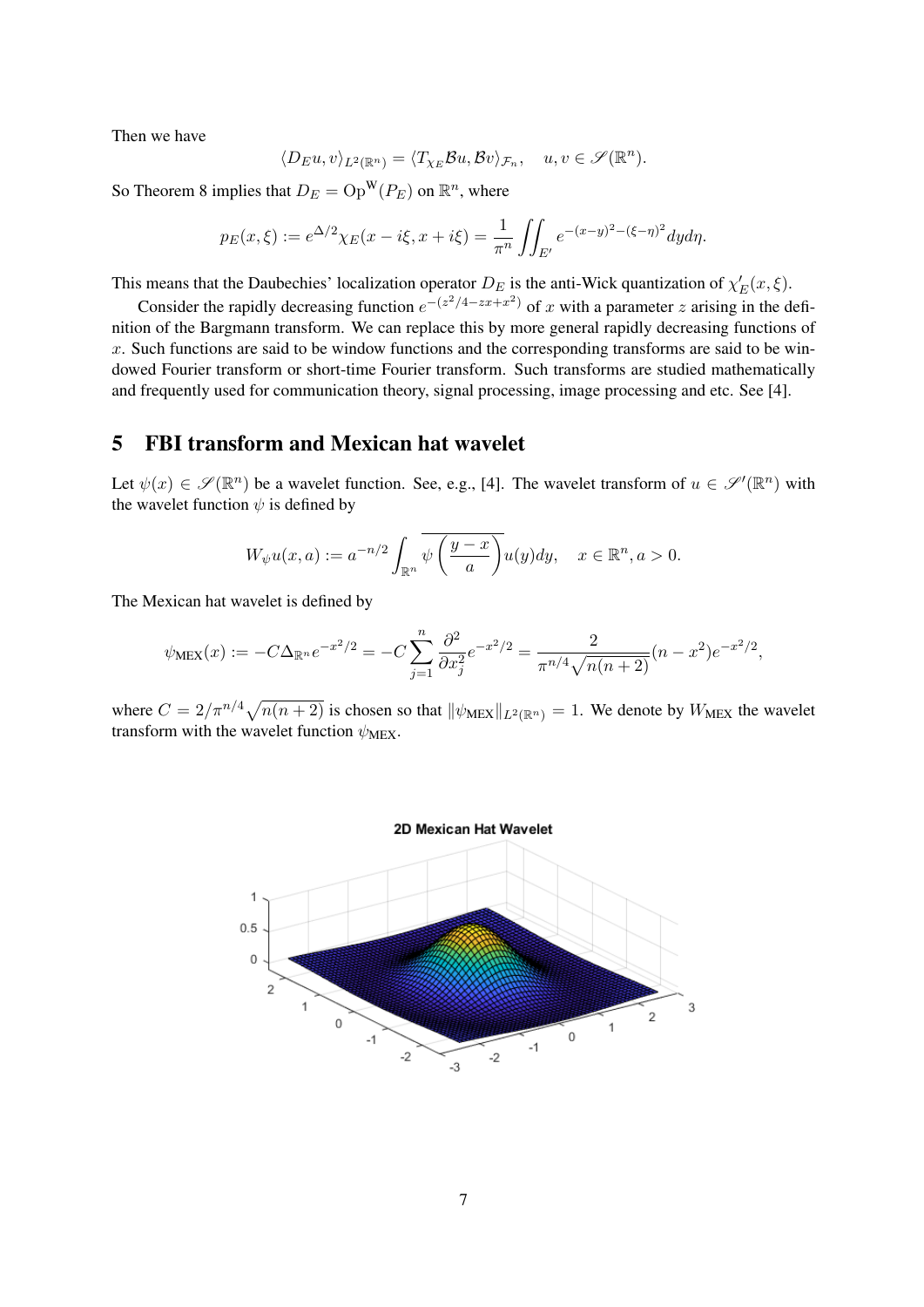Then we have

$$
\langle D_E u, v \rangle_{L^2(\mathbb{R}^n)} = \langle T_{\chi_E} \mathcal{B} u, \mathcal{B} v \rangle_{\mathcal{F}_n}, \quad u, v \in \mathscr{S}(\mathbb{R}^n).
$$

So Theorem 8 implies that  $D_E = \text{Op}^W(P_E)$  on  $\mathbb{R}^n$ , where

$$
p_E(x,\xi) := e^{\Delta/2} \chi_E(x - i\xi, x + i\xi) = \frac{1}{\pi^n} \iint_{E'} e^{-(x-y)^2 - (\xi - \eta)^2} dy d\eta.
$$

This means that the Daubechies' localization operator  $D_E$  is the anti-Wick quantization of  $\chi'_E(x,\xi)$ .

Consider the rapidly decreasing function  $e^{-(z^2/4 - zx + x^2)}$  of *x* with a parameter *z* arising in the definition of the Bargmann transform. We can replace this by more general rapidly decreasing functions of *x*. Such functions are said to be window functions and the corresponding transforms are said to be windowed Fourier transform or short-time Fourier transform. Such transforms are studied mathematically and frequently used for communication theory, signal processing, image processing and etc. See [4].

### 5 FBI transform and Mexican hat wavelet

Let  $\psi(x) \in \mathscr{S}(\mathbb{R}^n)$  be a wavelet function. See, e.g., [4]. The wavelet transform of  $u \in \mathscr{S}'(\mathbb{R}^n)$  with the wavelet function  $\psi$  is defined by

$$
W_{\psi}u(x,a) := a^{-n/2} \int_{\mathbb{R}^n} \overline{\psi\left(\frac{y-x}{a}\right)} u(y) dy, \quad x \in \mathbb{R}^n, a > 0.
$$

The Mexican hat wavelet is defined by

$$
\psi_{\text{MEX}}(x) := -C\Delta_{\mathbb{R}^n} e^{-x^2/2} = -C\sum_{j=1}^n \frac{\partial^2}{\partial x_j^2} e^{-x^2/2} = \frac{2}{\pi^{n/4}\sqrt{n(n+2)}}(n-x^2)e^{-x^2/2},
$$

where  $C = 2/\pi^{n/4}\sqrt{n(n+2)}$  is chosen so that  $\|\psi_{\text{MEX}}\|_{L^2(\mathbb{R}^n)} = 1$ . We denote by  $W_{\text{MEX}}$  the wavelet transform with the wavelet function  $\psi_{MEX}$ .

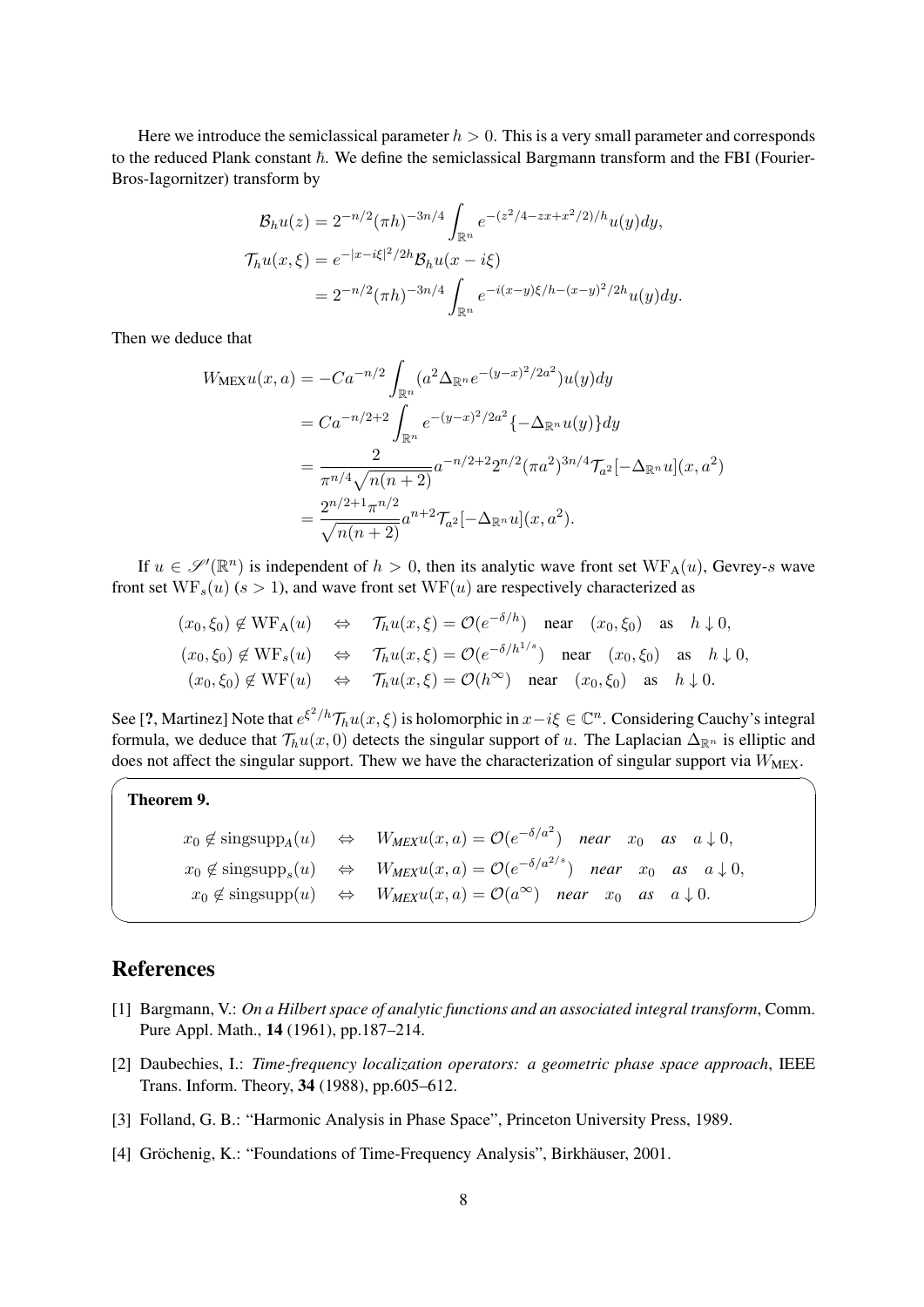Here we introduce the semiclassical parameter  $h > 0$ . This is a very small parameter and corresponds to the reduced Plank constant  $\hbar$ . We define the semiclassical Bargmann transform and the FBI (Fourier-Bros-Iagornitzer) transform by

$$
\mathcal{B}_h u(z) = 2^{-n/2} (\pi h)^{-3n/4} \int_{\mathbb{R}^n} e^{-(z^2/4 - zx + x^2/2)/h} u(y) dy,
$$
  

$$
\mathcal{T}_h u(x,\xi) = e^{-|x - i\xi|^2/2h} \mathcal{B}_h u(x - i\xi)
$$
  

$$
= 2^{-n/2} (\pi h)^{-3n/4} \int_{\mathbb{R}^n} e^{-i(x - y)\xi/h - (x - y)^2/2h} u(y) dy.
$$

Then we deduce that

$$
W_{\text{MEX}}u(x, a) = -Ca^{-n/2} \int_{\mathbb{R}^n} (a^2 \Delta_{\mathbb{R}^n} e^{-(y-x)^2/2a^2}) u(y) dy
$$
  
= 
$$
Ca^{-n/2+2} \int_{\mathbb{R}^n} e^{-(y-x)^2/2a^2} \{-\Delta_{\mathbb{R}^n} u(y)\} dy
$$
  
= 
$$
\frac{2}{\pi^{n/4} \sqrt{n(n+2)}} a^{-n/2+2} 2^{n/2} (\pi a^2)^{3n/4} \mathcal{T}_{a^2}[-\Delta_{\mathbb{R}^n} u](x, a^2)
$$
  
= 
$$
\frac{2^{n/2+1} \pi^{n/2}}{\sqrt{n(n+2)}} a^{n+2} \mathcal{T}_{a^2}[-\Delta_{\mathbb{R}^n} u](x, a^2).
$$

If  $u \in \mathscr{S}'(\mathbb{R}^n)$  is independent of  $h > 0$ , then its analytic wave front set  $WF_A(u)$ , Gevrey-*s* wave front set  $WF_s(u)$  ( $s > 1$ ), and wave front set  $WF(u)$  are respectively characterized as

$$
(x_0, \xi_0) \notin \text{WF}_A(u) \iff \mathcal{T}_h u(x, \xi) = \mathcal{O}(e^{-\delta/h}) \text{ near } (x_0, \xi_0) \text{ as } h \downarrow 0,
$$
  
\n
$$
(x_0, \xi_0) \notin \text{WF}_s(u) \iff \mathcal{T}_h u(x, \xi) = \mathcal{O}(e^{-\delta/h^{1/s}}) \text{ near } (x_0, \xi_0) \text{ as } h \downarrow 0,
$$
  
\n
$$
(x_0, \xi_0) \notin \text{WF}(u) \iff \mathcal{T}_h u(x, \xi) = \mathcal{O}(h^{\infty}) \text{ near } (x_0, \xi_0) \text{ as } h \downarrow 0.
$$

See [?, Martinez] Note that  $e^{\xi^2/h}\mathcal{T}_h u(x,\xi)$  is holomorphic in  $x-i\xi \in \mathbb{C}^n$ . Considering Cauchy's integral formula, we deduce that  $\mathcal{T}_h u(x, 0)$  detects the singular support of *u*. The Laplacian  $\Delta_{\mathbb{R}^n}$  is elliptic and does not affect the singular support. Thew we have the characterization of singular support via  $W_{\text{MEX}}$ .

#### Theorem 9.

 $\overline{a}$ 

|  | $x_0 \notin \text{singsupp}_A(u) \Leftrightarrow W_{MEX}u(x,a) = \mathcal{O}(e^{-\delta/a^2})$ near $x_0$ as $a \downarrow 0$ ,      |
|--|--------------------------------------------------------------------------------------------------------------------------------------|
|  | $x_0 \notin \text{singsupp}_s(u) \Leftrightarrow W_{MEX}u(x, a) = \mathcal{O}(e^{-\delta/a^{2/s}})$ near $x_0$ as $a \downarrow 0$ , |
|  | $x_0 \notin \text{singsupp}(u) \Leftrightarrow W_{MEX}u(x, a) = \mathcal{O}(a^{\infty})$ near $x_0$ as $a \downarrow 0$ .            |

✒ ✑

### References

- [1] Bargmann, V.: *On a Hilbert space of analytic functions and an associated integral transform*, Comm. Pure Appl. Math., 14 (1961), pp.187–214.
- [2] Daubechies, I.: *Time-frequency localization operators: a geometric phase space approach*, IEEE Trans. Inform. Theory, 34 (1988), pp.605–612.
- [3] Folland, G. B.: "Harmonic Analysis in Phase Space", Princeton University Press, 1989.
- [4] Gröchenig, K.: "Foundations of Time-Frequency Analysis", Birkhäuser, 2001.